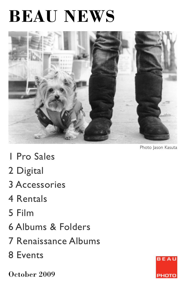# **BEAU NEWS**



Photo Jason Kasuta

- 1 Pro Sales
- 2 Digital
- 3 Accessories
- 4 Rentals
- 5 Film
- 6 Albums & Folders
- 7 Renaissance Albums
- 8 Events

October 2009

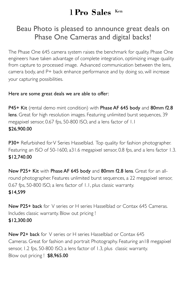## 1 **Pro Sales** Ken

## Beau Photo is pleased to announce great deals on Phase One Cameras and digital backs!

The Phase One 645 camera system raises the benchmark for quality. Phase One engineers have taken advantage of complete integration, optimizing image quality from capture to processed image. Advanced communication between the lens, camera body, and P+ back enhance performance and by doing so, will increase your capturing possibilities.

#### Here are some great deals we are able to offer:

P45+ Kit (rental demo mint condition) with Phase AF 645 body and 80mm f2.8 lens. Great for high resolution images. Featuring unlimited burst sequences, 39 megapixel sensor, 0.67 fps, 50-800 ISO, and a lens factor of 1.1 \$26,900.00

P30+ Refurbished for V Series Hasselblad. Top quality for fashion photographer. Featuring an ISO of 50-1600, a31.6 megapixel sensor, 0.8 fps, and a lens factor 1.3. \$12,740.00

New P25+ Kit with Phase AF 645 body and 80mm f2.8 lens. Great for an allround photographer. Features unlimited burst sequences, a 22 megapixel sensor, 0.67 fps, 50-800 ISO, a lens factor of 1.1, plus classic warranty. \$14,599

New P25+ back for V series or H series Hasselblad or Contax 645 Cameras. Includes classic warranty. Blow out pricing ! \$12,300.00

New P2+ back for V series or H series Hasselblad or Contax 645 Cameras. Great for fashion and portrait Photography. Featuring an18 megapixel sensor, 1.2 fps, 50-800 ISO, a lens factor of 1.3, plus classic warranty. Blow out pricing ! \$8,965.00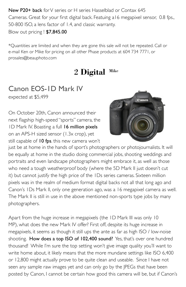New P20+ back for V series or H series Hasselblad or Contax 645 Cameras. Great for your first digital back. Featuing a16 megapixel sensor, 0.8 fps., 50-800 ISO, a lens factor of 1.4, and classic warranty. Blow out pricing ! \$7,845.00

\*Quantities are limited and when they are gone this sale will not be repeated. Call or e-mail Ken or Mike for pricing on all other Phase products at 604 734 7771, or prosales@beauphoto.com

# 2 **Digital** Mike

# Canon EOS-1D Mark IV

expected at \$5,499

On October 20th, Canon announced their next flagship high-speed "sports" camera, the ID Mark IV. Boasting a full 16 million pixels on an APS-H sized sensor (1.3x crop), yet still capable of 10 fps. this new camera won't



just be at home in the hands of sport's photographers or photojournalists. It will be equally at home in the studio doing commercial jobs, shooting weddings and portraits and even landscape photographers might embrace it, as well as those who need a tough weatherproof body (where the 5D Mark II just doesn't cut it) but cannot justify the high price of the 1Ds series cameras. Sixteen million pixels was in the realm of medium format digital backs not all that long ago and Canon's 1Ds Mark II, only one generation ago, was a 16 megapixel camera as well. The Mark II is still in use in the above mentioned non-sports type jobs by many photographers.

Apart from the huge increase in megapixels (the 1D Mark III was only 10 MP), what does the new Mark IV offer? First off, despite its huge increase in megapixels, it seems as though it still ups the ante as far as high ISO / low-noise shooting. How does a top ISO of 102,400 sound? Yes, that's over one hundred thousand! While I'm sure the top setting won't give image quality you'll want to write home about, it likely means that the more mundane settings like ISO 6,400 or 12,800 might actually prove to be quite clean and useable. Since I have not seen any sample raw images yet and can only go by the JPEGs that have been posted by Canon, I cannot be certain how good this camera will be, but if Canon's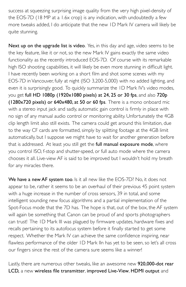success at squeezing surprising image quality from the very high pixel-density of the EOS-7D (18 MP at a 1.6x crop) is any indication, with undoubtedly a few more tweaks added, I do anticipate that the new 1D Mark IV camera will likely be quite stunning.

Next up on the upgrade list is video. Yes, in this day and age, video seems to be the key feature, like it or not, so the new Mark IV gains exactly the same video functionality as the recently introduced EOS-7D. Of course with its remarkable high ISO shooting capabilities, it will likely be even more stunning in difficult light. I have recently been working on a short film and shot some scenes with my EOS-7D in Vancouver, fully at night (ISO 3,200-5,000) with no added lighting, and even it is surprisingly good. To quickly summarize the 1D Mark IV's video modes, you get full HD 1080p (1920x1080 pixels) at 24, 25 or 30 fps, and also 720p (1280x720 pixels) or 640x480, at 50 or 60 fps. There is a mono onboard mic with a stereo input jack and sadly, automatic gain control is firmly in place with no sign of any manual audio control or monitoring ability. Unfortunately the 4GB clip length limit also still exists. The camera could get around this limitation, due to the way CF cards are formatted, simply by splitting footage at the 4GB limit automatically, but I suppose we might have to wait for another generation before that is addressed. At least you still get the full manual exposure mode, where you control ISO, f-stop and shutter-speed, or full auto mode where the camera chooses it all. Live-view AF is said to be improved but I wouldn't hold my breath for any miracles there.

We have a new AF system too. Is it all new like the EOS-7D? No, it does not appear to be, rather it seems to be an overhaul of their previous 45 point system with a huge increase in the number of cross sensors, 39 in total, and some intelligent sounding new focus algorithms and a partial implementation of the Spot-Focus mode that the 7D has. The hope is that, out of the box, the AF system will again be something that Canon can be proud of and sports photographers can trust! The 1D Mark III was plagued by firmware updates, hardware fixes and recalls pertaining to its autofocus system before it finally started to get some respect. Whether the Mark IV can achieve the same confidence inspiring, near flawless performance of the older 1D Mark IIn has yet to be seen, so let's all cross our fingers since the rest of the camera sure seems like a winner!

Lastly, there are numerous other tweaks, like an awesome new 920,000-dot rear LCD, a new wireless file transmitter, improved Live-View, HDMI output and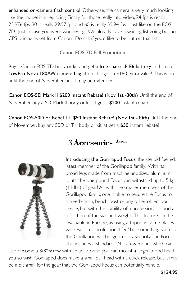enhanced on-camera flash control. Otherwise, the camera is very much looking like the model it is replacing. Finally, for those really into video, 24 fps is really 23.976 fps, 30 is really 29.97 fps, and 60 is really 59.94 fps - just like on the EOS-7D. Just in case you were wondering... We already have a waiting list going but no CPS pricing as yet from Canon. Do call if you'd like to be put on that list!

Canon EOS-7D Fall Promotion!

Buy a Canon EOS-7D body or kit and get a free spare LP-E6 battery and a nice LowPro Nova 180AW camera bag at no charge - a \$180 extra value! This is on until the end of November, but it may be extended...

Canon EOS-5D Mark II \$200 Instant Rebate! (Nov 1st -30th) Until the end of November, buy a 5D Mark II body or kit at get a \$200 instant rebate!

Canon EOS-50D or Rebel T1i \$50 Instant Rebate! (Nov 1st -30th) Until the end of November, buy any 50D or T1i body or kit, at get a \$50 instant rebate!



## 3 **Accessories** Jason

Introducing the Gorillapod Focus, the steroid fuelled, latest member of the Gorillapod family. With its broad legs made from machine anodized aluminum joints, the one pound Focus can withstand up to 5 kg (11 lbs) of gear! As with the smaller members of the Gorillapod family, one is able to secure the Focus to a tree branch, bench, post or any other object you desire, but with the stability of a professional tripod at a fraction of the size and weight. This feature can be invaluable in Europe, as using a tripod in some places will result in a 'professional fee,' but something such as the Gorillapod will be ignored by security. The Focus also includes a standard 1/4" screw mount which can

also become a 3/8" screw with an adaptor so you can mount a larger tripod head if you so wish. Gorillapod does make a small ball head with a quick release, but it may be a bit small for the gear that the Gorillapod Focus can potentially handle.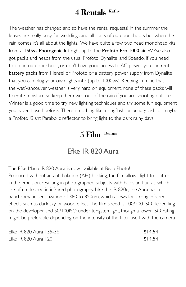## 4 **Rentals** Kathy

The weather has changed and so have the rental requests! In the summer the lenses are really busy for weddings and all sorts of outdoor shoots but when the rain comes, it's all about the lights. We have quite a few two head monohead kits from a 150ws Photogenic kit right up to the Profoto Pro 1000 air. We've also got packs and heads from the usual Profoto, Dynalite, and Speedo. If you need to do an outdoor shoot, or don't have good access to AC power you can rent battery packs from Hensel or Profoto or a battery power supply from Dynalite that you can plug your own lights into (up to 1000ws). Keeping in mind that the wet Vancouver weather is very hard on equipment, none of these packs will tolerate moisture so keep them well out of the rain if you are shooting outside. Winter is a good time to try new lighting techniques and try some fun equipment you haven't used before. There is nothing like a ringflash, or beauty dish, or maybe a Profoto Giant Parabolic reflector to bring light to the dark rainy days.

#### 5 Film Dennis

#### Efke IR 820 Aura

The Efke Maco IR 820 Aura is now available at Beau Photo! Produced without an anti-halation (AH) backing, the film allows light to scatter in the emulsion, resulting in photographed subjects with halos and auras, which are often desired in infrared photography. Like the IR 820c, the Aura has a panchromatic sensitization of 380 to 850nm, which allows for strong infrared effects such as dark sky, or wood effect. The film speed is 100/200 ISO depending on the developer, and 50/100ISO under tungsten light, though a lower ISO rating might be preferable depending on the intensity of the filter used with the camera.

| Efke IR 820 Aura 135-36 | \$14.54 |
|-------------------------|---------|
| Efke IR 820 Aura 120    | \$14.54 |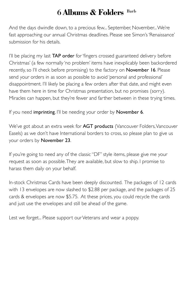# 6 **Albums & Folders** Barb

And the days dwindle down, to a precious few... September, November... We're fast approaching our annual Christmas deadlines. Please see Simon's 'Renaissance' submission for his details.

I'll be placing my last **TAP order** for 'fingers crossed guaranteed delivery before Christmas' (a few normally 'no problem' items have inexplicably been backordered recently, so I'll check before promising) to the factory on November 16. Please send your orders in as soon as possible to avoid 'personal and professional' disappointment. I'll likely be placing a few orders after that date, and might even have them here in time for Christmas presentation, but no promises (sorry). Miracles can happen, but they're fewer and farther between in these trying times.

If you need imprinting, I'll be needing your order by November 6.

We've got about an extra week for **AGT products** (Vancouver Folders, Vancouver Easels) as we don't have International borders to cross, so please plan to give us your orders by November 23.

If you're going to need any of the classic "DF" style items, please give me your request as soon as possible. They are available, but slow to ship. I promise to harass them daily on your behalf.

In-stock Christmas Cards have been deeply discounted. The packages of 12 cards with 13 envelopes are now slashed to \$2.88 per package, and the packages of 25 cards & envelopes are now \$5.75. At these prices, you could recycle the cards and just use the envelopes and still be ahead of the game.

Lest we forget... Please support our Veterans and wear a poppy.